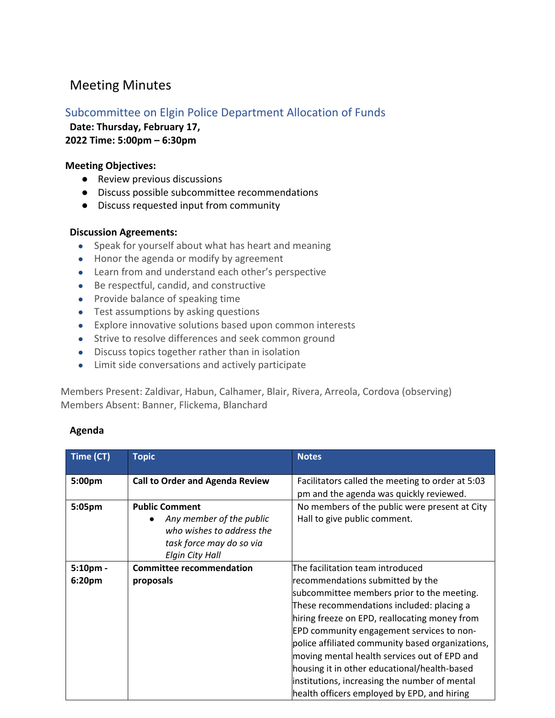# Meeting Minutes

## Subcommittee on Elgin Police Department Allocation of Funds

**Date: Thursday, February 17,** 

**2022 Time: 5:00pm – 6:30pm**

### **Meeting Objectives:**

- Review previous discussions
- Discuss possible subcommittee recommendations
- Discuss requested input from community

### **Discussion Agreements:**

- Speak for yourself about what has heart and meaning
- Honor the agenda or modify by agreement
- Learn from and understand each other's perspective
- Be respectful, candid, and constructive
- Provide balance of speaking time
- Test assumptions by asking questions
- Explore innovative solutions based upon common interests
- Strive to resolve differences and seek common ground
- Discuss topics together rather than in isolation
- Limit side conversations and actively participate

Members Present: Zaldivar, Habun, Calhamer, Blair, Rivera, Arreola, Cordova (observing) Members Absent: Banner, Flickema, Blanchard

#### **Agenda**

| Time (CT) | <b>Topic</b>                                                                                                                  | <b>Notes</b>                                                                                                                                                                                                                                                                                                                                                                                                                                                                         |
|-----------|-------------------------------------------------------------------------------------------------------------------------------|--------------------------------------------------------------------------------------------------------------------------------------------------------------------------------------------------------------------------------------------------------------------------------------------------------------------------------------------------------------------------------------------------------------------------------------------------------------------------------------|
| 5:00pm    | <b>Call to Order and Agenda Review</b>                                                                                        | Facilitators called the meeting to order at 5:03<br>pm and the agenda was quickly reviewed.                                                                                                                                                                                                                                                                                                                                                                                          |
| 5:05pm    | <b>Public Comment</b><br>Any member of the public<br>who wishes to address the<br>task force may do so via<br>Elgin City Hall | No members of the public were present at City<br>Hall to give public comment.                                                                                                                                                                                                                                                                                                                                                                                                        |
| 5:10pm -  | <b>Committee recommendation</b>                                                                                               | The facilitation team introduced                                                                                                                                                                                                                                                                                                                                                                                                                                                     |
| 6:20pm    | proposals                                                                                                                     | recommendations submitted by the<br>subcommittee members prior to the meeting.<br>These recommendations included: placing a<br>hiring freeze on EPD, reallocating money from<br><b>EPD community engagement services to non-</b><br>police affiliated community based organizations,<br>moving mental health services out of EPD and<br>housing it in other educational/health-based<br>institutions, increasing the number of mental<br>health officers employed by EPD, and hiring |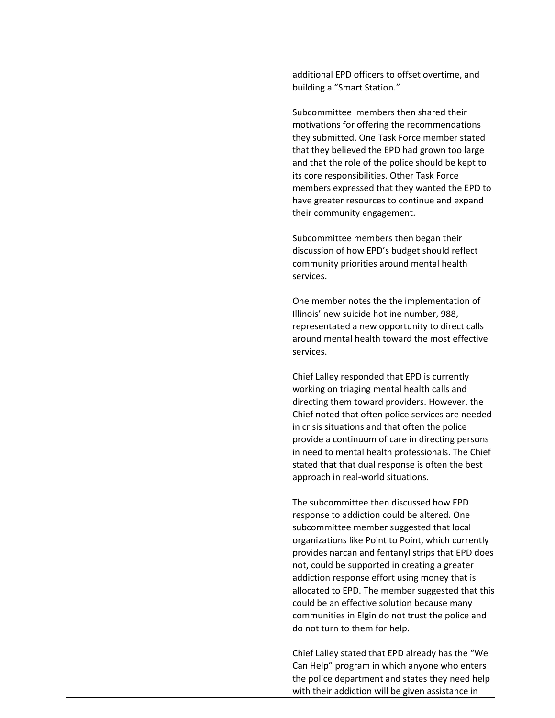| additional EPD officers to offset overtime, and<br>building a "Smart Station."                                                                                                                                                                                                                                                                                                                                                                                                                                                          |
|-----------------------------------------------------------------------------------------------------------------------------------------------------------------------------------------------------------------------------------------------------------------------------------------------------------------------------------------------------------------------------------------------------------------------------------------------------------------------------------------------------------------------------------------|
| Subcommittee members then shared their<br>motivations for offering the recommendations<br>they submitted. One Task Force member stated<br>that they believed the EPD had grown too large<br>and that the role of the police should be kept to<br>its core responsibilities. Other Task Force<br>members expressed that they wanted the EPD to<br>have greater resources to continue and expand<br>their community engagement.                                                                                                           |
| Subcommittee members then began their<br>discussion of how EPD's budget should reflect<br>community priorities around mental health<br>services.                                                                                                                                                                                                                                                                                                                                                                                        |
| One member notes the the implementation of<br>Illinois' new suicide hotline number, 988,<br>representated a new opportunity to direct calls<br>around mental health toward the most effective<br>services.                                                                                                                                                                                                                                                                                                                              |
| Chief Lalley responded that EPD is currently<br>working on triaging mental health calls and<br>directing them toward providers. However, the<br>Chief noted that often police services are needed<br>in crisis situations and that often the police<br>provide a continuum of care in directing persons<br>in need to mental health professionals. The Chief<br>stated that that dual response is often the best<br>approach in real-world situations.                                                                                  |
| The subcommittee then discussed how EPD<br>response to addiction could be altered. One<br>subcommittee member suggested that local<br>organizations like Point to Point, which currently<br>provides narcan and fentanyl strips that EPD does<br>not, could be supported in creating a greater<br>addiction response effort using money that is<br>allocated to EPD. The member suggested that this<br>could be an effective solution because many<br>communities in Elgin do not trust the police and<br>do not turn to them for help. |
| Chief Lalley stated that EPD already has the "We<br>Can Help" program in which anyone who enters<br>the police department and states they need help<br>with their addiction will be given assistance in                                                                                                                                                                                                                                                                                                                                 |